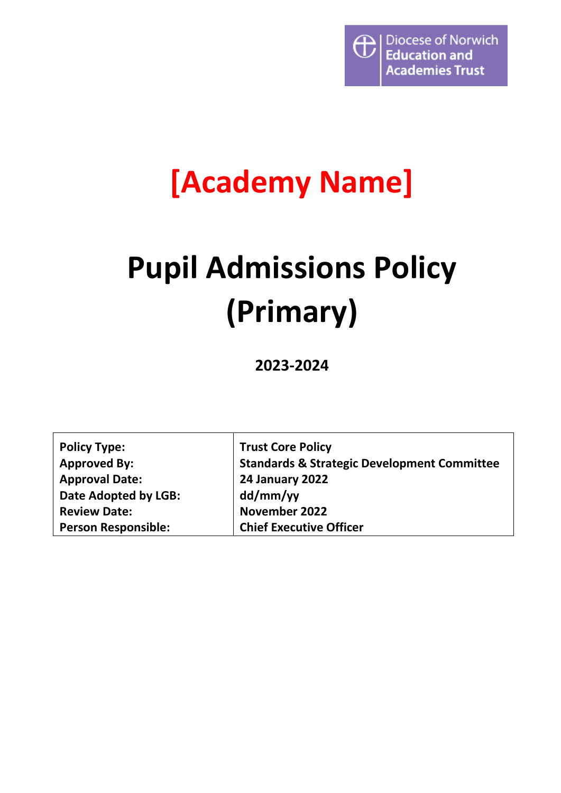

## **[Academy Name]**

# **Pupil Admissions Policy (Primary)**

**2023-2024**

| <b>Policy Type:</b>        | <b>Trust Core Policy</b>                               |
|----------------------------|--------------------------------------------------------|
| <b>Approved By:</b>        | <b>Standards &amp; Strategic Development Committee</b> |
| <b>Approval Date:</b>      | <b>24 January 2022</b>                                 |
| Date Adopted by LGB:       | dd/mm/yy                                               |
| <b>Review Date:</b>        | <b>November 2022</b>                                   |
| <b>Person Responsible:</b> | <b>Chief Executive Officer</b>                         |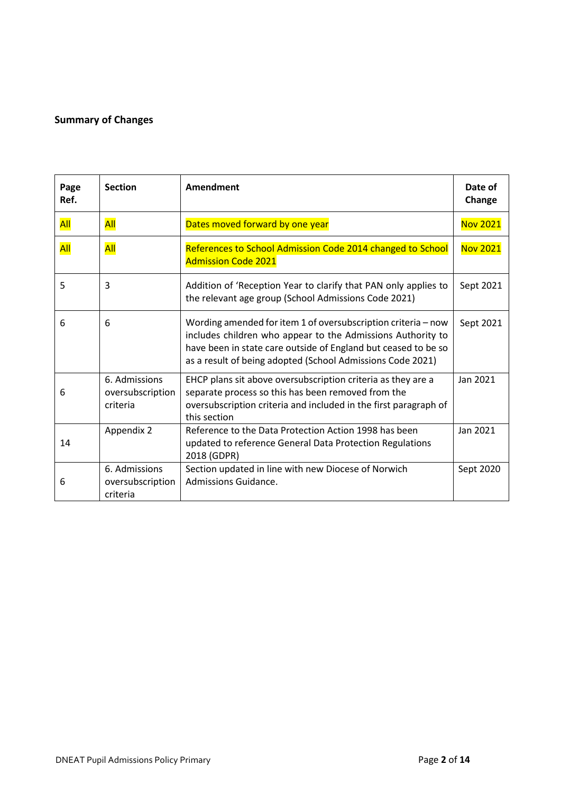#### <span id="page-1-0"></span>**Summary of Changes**

| Page<br>Ref. | <b>Section</b>                                | Amendment                                                                                                                                                                                                                                                    | Date of<br>Change |
|--------------|-----------------------------------------------|--------------------------------------------------------------------------------------------------------------------------------------------------------------------------------------------------------------------------------------------------------------|-------------------|
| All          | All                                           | Dates moved forward by one year                                                                                                                                                                                                                              | <b>Nov 2021</b>   |
| All          | All                                           | References to School Admission Code 2014 changed to School<br><b>Admission Code 2021</b>                                                                                                                                                                     | <b>Nov 2021</b>   |
| 5            | 3                                             | Addition of 'Reception Year to clarify that PAN only applies to<br>the relevant age group (School Admissions Code 2021)                                                                                                                                      | Sept 2021         |
| 6            | 6                                             | Wording amended for item 1 of oversubscription criteria - now<br>includes children who appear to the Admissions Authority to<br>have been in state care outside of England but ceased to be so<br>as a result of being adopted (School Admissions Code 2021) | Sept 2021         |
| 6            | 6. Admissions<br>oversubscription<br>criteria | EHCP plans sit above oversubscription criteria as they are a<br>separate process so this has been removed from the<br>oversubscription criteria and included in the first paragraph of<br>this section                                                       | Jan 2021          |
| 14           | Appendix 2                                    | Reference to the Data Protection Action 1998 has been<br>updated to reference General Data Protection Regulations<br>2018 (GDPR)                                                                                                                             | Jan 2021          |
| 6            | 6. Admissions<br>oversubscription<br>criteria | Section updated in line with new Diocese of Norwich<br>Admissions Guidance.                                                                                                                                                                                  | Sept 2020         |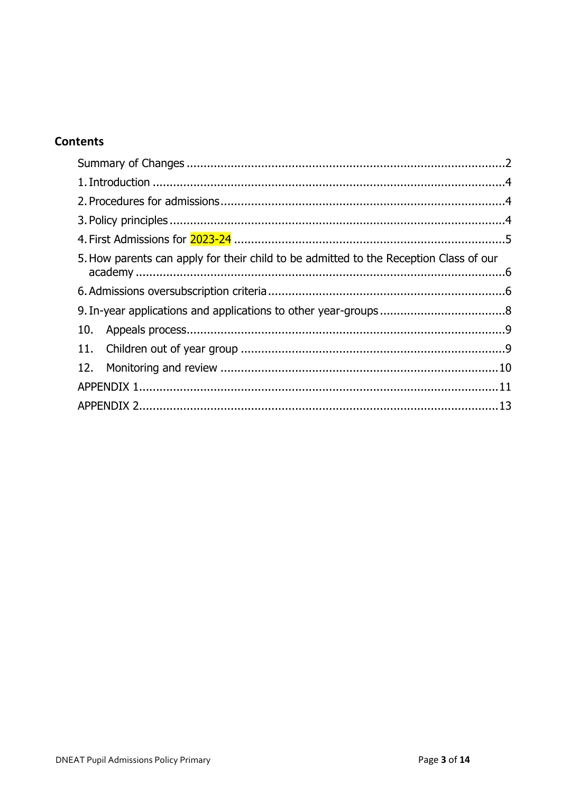#### **Contents**

| 5. How parents can apply for their child to be admitted to the Reception Class of our |  |
|---------------------------------------------------------------------------------------|--|
|                                                                                       |  |
|                                                                                       |  |
|                                                                                       |  |
|                                                                                       |  |
|                                                                                       |  |
|                                                                                       |  |
|                                                                                       |  |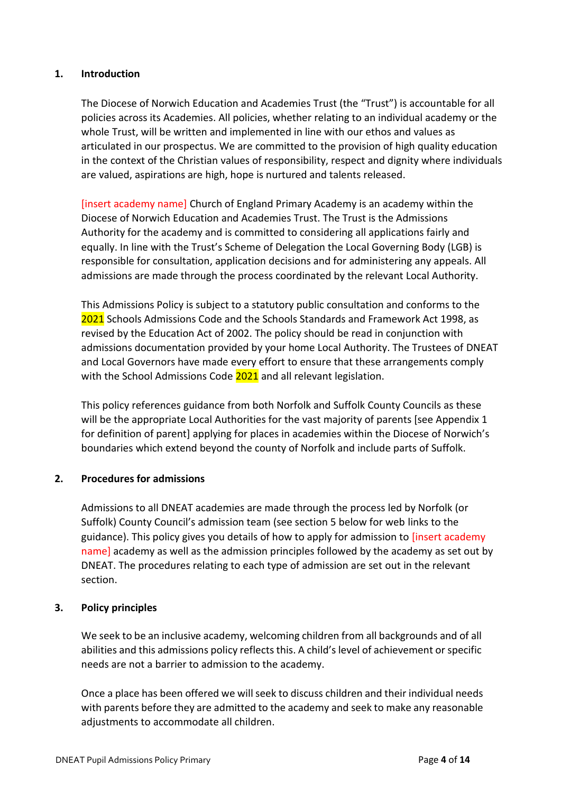#### <span id="page-3-0"></span>**1. Introduction**

The Diocese of Norwich Education and Academies Trust (the "Trust") is accountable for all policies across its Academies. All policies, whether relating to an individual academy or the whole Trust, will be written and implemented in line with our ethos and values as articulated in our prospectus. We are committed to the provision of high quality education in the context of the Christian values of responsibility, respect and dignity where individuals are valued, aspirations are high, hope is nurtured and talents released.

[insert academy name] Church of England Primary Academy is an academy within the Diocese of Norwich Education and Academies Trust. The Trust is the Admissions Authority for the academy and is committed to considering all applications fairly and equally. In line with the Trust's Scheme of Delegation the Local Governing Body (LGB) is responsible for consultation, application decisions and for administering any appeals. All admissions are made through the process coordinated by the relevant Local Authority.

This Admissions Policy is subject to a statutory public consultation and conforms to the 2021 Schools Admissions Code and the Schools Standards and Framework Act 1998, as revised by the Education Act of 2002. The policy should be read in conjunction with admissions documentation provided by your home Local Authority. The Trustees of DNEAT and Local Governors have made every effort to ensure that these arrangements comply with the School Admissions Code 2021 and all relevant legislation.

This policy references guidance from both Norfolk and Suffolk County Councils as these will be the appropriate Local Authorities for the vast majority of parents [see Appendix 1 for definition of parent] applying for places in academies within the Diocese of Norwich's boundaries which extend beyond the county of Norfolk and include parts of Suffolk.

#### <span id="page-3-1"></span>**2. Procedures for admissions**

Admissions to all DNEAT academies are made through the process led by Norfolk (or Suffolk) County Council's admission team (see section 5 below for web links to the guidance). This policy gives you details of how to apply for admission to [insert academy name] academy as well as the admission principles followed by the academy as set out by DNEAT. The procedures relating to each type of admission are set out in the relevant section.

#### <span id="page-3-2"></span>**3. Policy principles**

We seek to be an inclusive academy, welcoming children from all backgrounds and of all abilities and this admissions policy reflects this. A child's level of achievement or specific needs are not a barrier to admission to the academy.

Once a place has been offered we will seek to discuss children and their individual needs with parents before they are admitted to the academy and seek to make any reasonable adjustments to accommodate all children.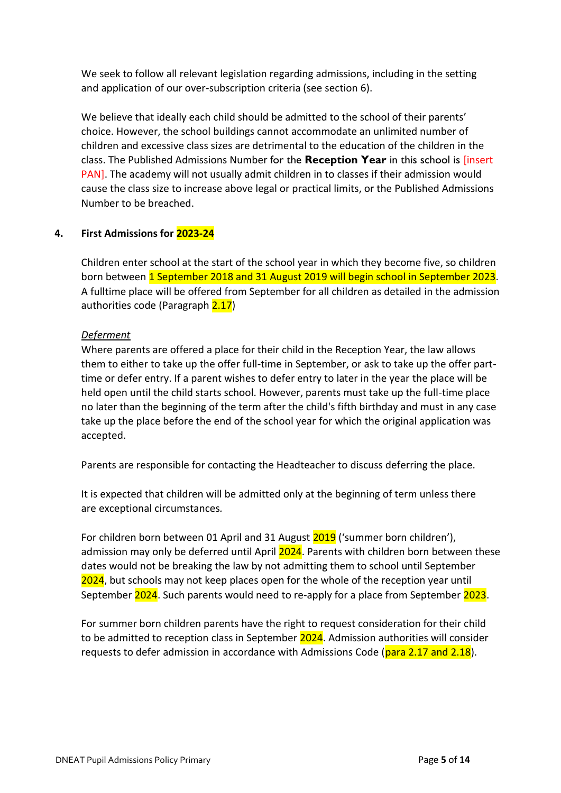We seek to follow all relevant legislation regarding admissions, including in the setting and application of our over-subscription criteria (see section 6).

We believe that ideally each child should be admitted to the school of their parents' choice. However, the school buildings cannot accommodate an unlimited number of children and excessive class sizes are detrimental to the education of the children in the class. The Published Admissions Number for the **Reception Year** in this school is [insert PAN]. The academy will not usually admit children in to classes if their admission would cause the class size to increase above legal or practical limits, or the Published Admissions Number to be breached.

#### <span id="page-4-0"></span>**4. First Admissions for 2023-24**

Children enter school at the start of the school year in which they become five, so children born between 1 September 2018 and 31 August 2019 will begin school in September 2023. A fulltime place will be offered from September for all children as detailed in the admission authorities code (Paragraph 2.17)

#### *Deferment*

Where parents are offered a place for their child in the Reception Year, the law allows them to either to take up the offer full-time in September, or ask to take up the offer parttime or defer entry. If a parent wishes to defer entry to later in the year the place will be held open until the child starts school. However, parents must take up the full-time place no later than the beginning of the term after the child's fifth birthday and must in any case take up the place before the end of the school year for which the original application was accepted.

Parents are responsible for contacting the Headteacher to discuss deferring the place.

It is expected that children will be admitted only at the beginning of term unless there are exceptional circumstances*.*

For children born between 01 April and 31 August 2019 ('summer born children'), admission may only be deferred until April 2024. Parents with children born between these dates would not be breaking the law by not admitting them to school until September 2024, but schools may not keep places open for the whole of the reception year until September 2024. Such parents would need to re-apply for a place from September 2023.

For summer born children parents have the right to request consideration for their child to be admitted to reception class in September 2024. Admission authorities will consider requests to defer admission in accordance with Admissions Code (para 2.17 and 2.18).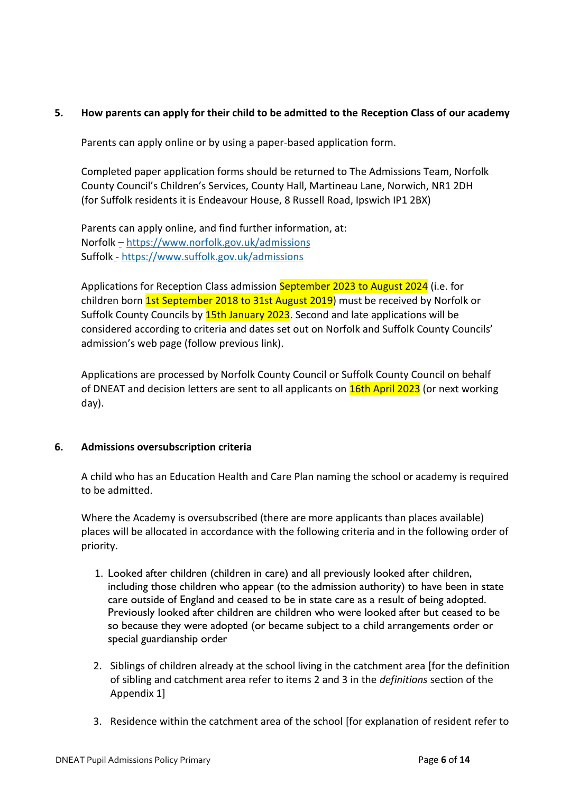#### <span id="page-5-0"></span>**5. How parents can apply for their child to be admitted to the Reception Class of our academy**

Parents can apply online or by using a paper-based application form.

Completed paper application forms should be returned to The Admissions Team, Norfolk County Council's Children's Services, County Hall, Martineau Lane, Norwich, NR1 2DH (for Suffolk residents it is Endeavour House, 8 Russell Road, Ipswich IP1 2BX)

Parents can apply online, and find further information, at: Norfolk – <https://www.norfolk.gov.uk/admissions> Suffolk - <https://www.suffolk.gov.uk/admissions>

Applications for Reception Class admission September 2023 to August 2024 (i.e. for children born 1st September 2018 to 31st August 2019) must be received by Norfolk or Suffolk County Councils by 15th January 2023. Second and late applications will be considered according to criteria and dates set out on Norfolk and Suffolk County Councils' admission's web page (follow previous link).

Applications are processed by Norfolk County Council or Suffolk County Council on behalf of DNEAT and decision letters are sent to all applicants on **16th April 2023** (or next working day).

#### <span id="page-5-1"></span>**6. Admissions oversubscription criteria**

A child who has an Education Health and Care Plan naming the school or academy is required to be admitted.

Where the Academy is oversubscribed (there are more applicants than places available) places will be allocated in accordance with the following criteria and in the following order of priority.

- 1. Looked after children (children in care) and all previously looked after children, including those children who appear (to the admission authority) to have been in state care outside of England and ceased to be in state care as a result of being adopted. Previously looked after children are children who were looked after but ceased to be so because they were adopted (or became subject to a child arrangements order or special guardianship order
- 2. Siblings of children already at the school living in the catchment area [for the definition of sibling and catchment area refer to items 2 and 3 in the *definitions* section of the Appendix 1]
- 3. Residence within the catchment area of the school [for explanation of resident refer to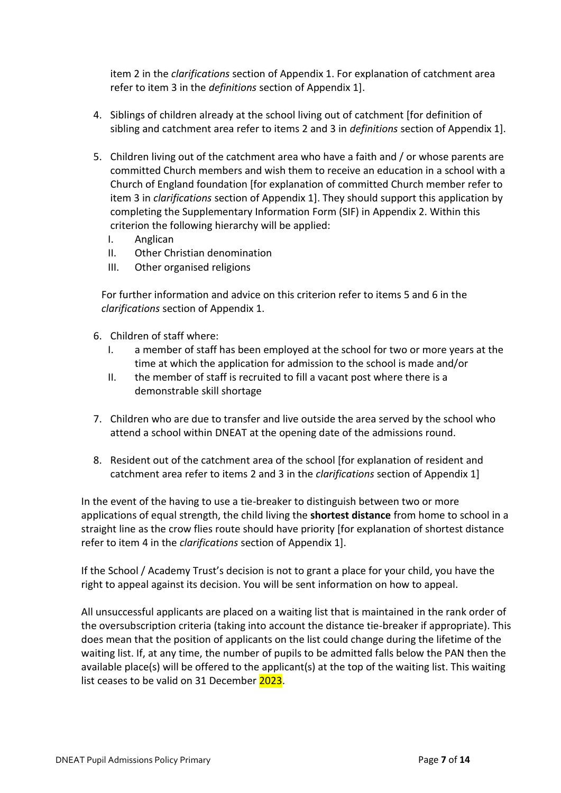item 2 in the *clarifications* section of Appendix 1. For explanation of catchment area refer to item 3 in the *definitions* section of Appendix 1].

- 4. Siblings of children already at the school living out of catchment [for definition of sibling and catchment area refer to items 2 and 3 in *definitions* section of Appendix 1].
- 5. Children living out of the catchment area who have a faith and / or whose parents are committed Church members and wish them to receive an education in a school with a Church of England foundation [for explanation of committed Church member refer to item 3 in *clarifications* section of Appendix 1]. They should support this application by completing the Supplementary Information Form (SIF) in Appendix 2. Within this criterion the following hierarchy will be applied:
	- I. Anglican
	- II. Other Christian denomination
	- III. Other organised religions

For further information and advice on this criterion refer to items 5 and 6 in the *clarifications* section of Appendix 1.

- 6. Children of staff where:
	- I. a member of staff has been employed at the school for two or more years at the time at which the application for admission to the school is made and/or
	- II. the member of staff is recruited to fill a vacant post where there is a demonstrable skill shortage
- 7. Children who are due to transfer and live outside the area served by the school who attend a school within DNEAT at the opening date of the admissions round.
- 8. Resident out of the catchment area of the school [for explanation of resident and catchment area refer to items 2 and 3 in the *clarifications* section of Appendix 1]

In the event of the having to use a tie-breaker to distinguish between two or more applications of equal strength, the child living the **shortest distance** from home to school in a straight line as the crow flies route should have priority [for explanation of shortest distance refer to item 4 in the *clarifications* section of Appendix 1].

If the School / Academy Trust's decision is not to grant a place for your child, you have the right to appeal against its decision. You will be sent information on how to appeal.

All unsuccessful applicants are placed on a waiting list that is maintained in the rank order of the oversubscription criteria (taking into account the distance tie-breaker if appropriate). This does mean that the position of applicants on the list could change during the lifetime of the waiting list. If, at any time, the number of pupils to be admitted falls below the PAN then the available place(s) will be offered to the applicant(s) at the top of the waiting list. This waiting list ceases to be valid on 31 December 2023.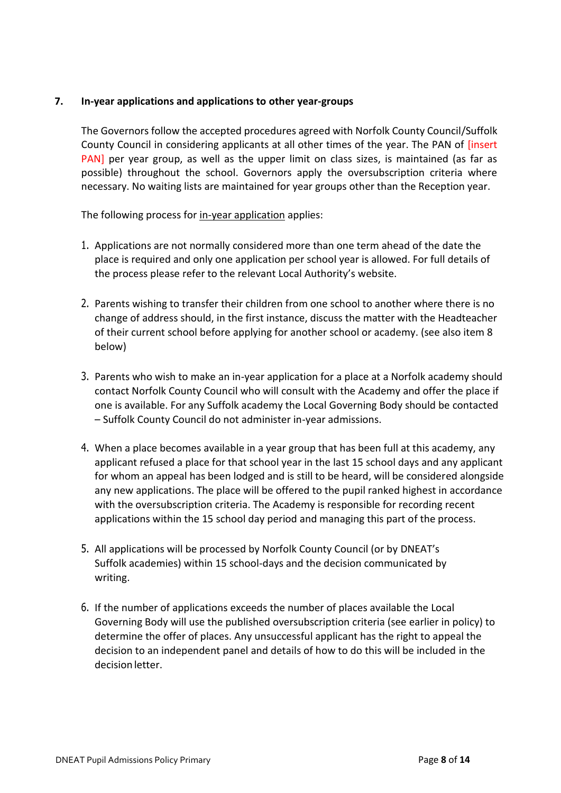#### <span id="page-7-0"></span>**7. In-year applications and applications to other year-groups**

The Governors follow the accepted procedures agreed with Norfolk County Council/Suffolk County Council in considering applicants at all other times of the year. The PAN of [insert PAN] per year group, as well as the upper limit on class sizes, is maintained (as far as possible) throughout the school. Governors apply the oversubscription criteria where necessary. No waiting lists are maintained for year groups other than the Reception year.

The following process for in-year application applies:

- 1. Applications are not normally considered more than one term ahead of the date the place is required and only one application per school year is allowed. For full details of the process please refer to the relevant Local Authority's website.
- 2. Parents wishing to transfer their children from one school to another where there is no change of address should, in the first instance, discuss the matter with the Headteacher of their current school before applying for another school or academy. (see also item 8 below)
- 3. Parents who wish to make an in-year application for a place at a Norfolk academy should contact Norfolk County Council who will consult with the Academy and offer the place if one is available. For any Suffolk academy the Local Governing Body should be contacted – Suffolk County Council do not administer in-year admissions.
- 4. When a place becomes available in a year group that has been full at this academy, any applicant refused a place for that school year in the last 15 school days and any applicant for whom an appeal has been lodged and is still to be heard, will be considered alongside any new applications. The place will be offered to the pupil ranked highest in accordance with the oversubscription criteria. The Academy is responsible for recording recent applications within the 15 school day period and managing this part of the process.
- 5. All applications will be processed by Norfolk County Council (or by DNEAT's Suffolk academies) within 15 school-days and the decision communicated by writing.
- 6. If the number of applications exceeds the number of places available the Local Governing Body will use the published oversubscription criteria (see earlier in policy) to determine the offer of places. Any unsuccessful applicant has the right to appeal the decision to an independent panel and details of how to do this will be included in the decision letter.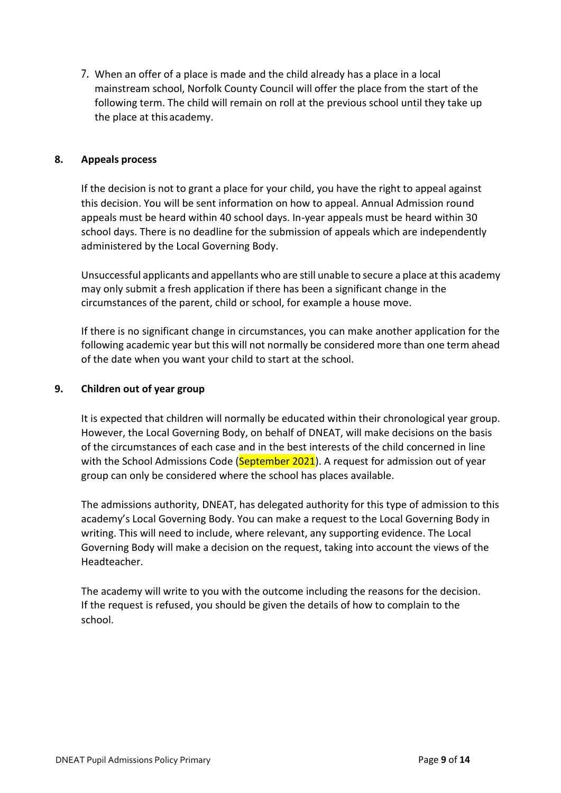7. When an offer of a place is made and the child already has a place in a local mainstream school, Norfolk County Council will offer the place from the start of the following term. The child will remain on roll at the previous school until they take up the place at thisacademy.

#### <span id="page-8-0"></span>**8. Appeals process**

If the decision is not to grant a place for your child, you have the right to appeal against this decision. You will be sent information on how to appeal. Annual Admission round appeals must be heard within 40 school days. In-year appeals must be heard within 30 school days. There is no deadline for the submission of appeals which are independently administered by the Local Governing Body.

Unsuccessful applicants and appellants who are still unable to secure a place at this academy may only submit a fresh application if there has been a significant change in the circumstances of the parent, child or school, for example a house move.

If there is no significant change in circumstances, you can make another application for the following academic year but this will not normally be considered more than one term ahead of the date when you want your child to start at the school.

#### <span id="page-8-1"></span>**9. Children out of year group**

It is expected that children will normally be educated within their chronological year group. However, the Local Governing Body, on behalf of DNEAT, will make decisions on the basis of the circumstances of each case and in the best interests of the child concerned in line with the School Admissions Code (September 2021). A request for admission out of year group can only be considered where the school has places available.

The admissions authority, DNEAT, has delegated authority for this type of admission to this academy's Local Governing Body. You can make a request to the Local Governing Body in writing. This will need to include, where relevant, any supporting evidence. The Local Governing Body will make a decision on the request, taking into account the views of the Headteacher.

The academy will write to you with the outcome including the reasons for the decision. If the request is refused, you should be given the details of how to complain to the school.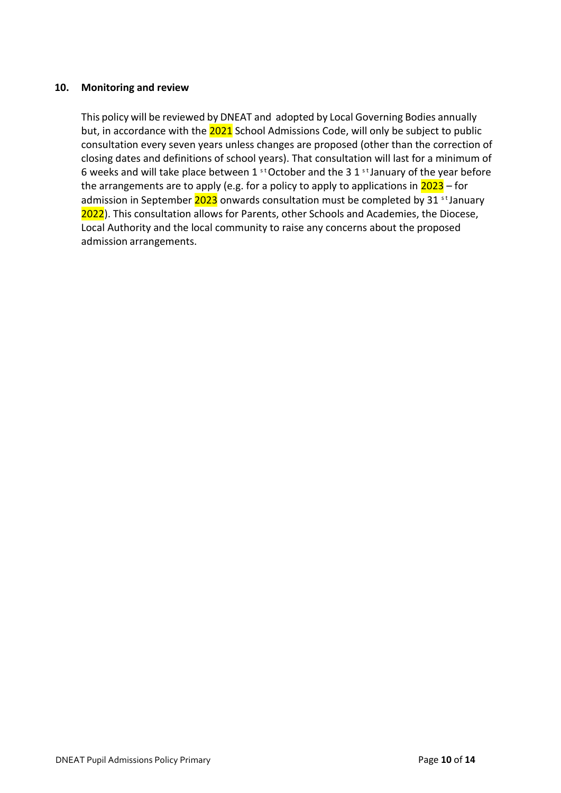#### <span id="page-9-0"></span>**10. Monitoring and review**

This policy will be reviewed by DNEAT and adopted by Local Governing Bodies annually but, in accordance with the 2021 School Admissions Code, will only be subject to public consultation every seven years unless changes are proposed (other than the correction of closing dates and definitions of school years). That consultation will last for a minimum of 6 weeks and will take place between 1  $^{\text{st}}$  October and the 3 1  $^{\text{st}}$  January of the year before the arrangements are to apply (e.g. for a policy to apply to applications in  $2023 -$  for admission in September  $2023$  onwards consultation must be completed by 31 st January 2022). This consultation allows for Parents, other Schools and Academies, the Diocese, Local Authority and the local community to raise any concerns about the proposed admission arrangements.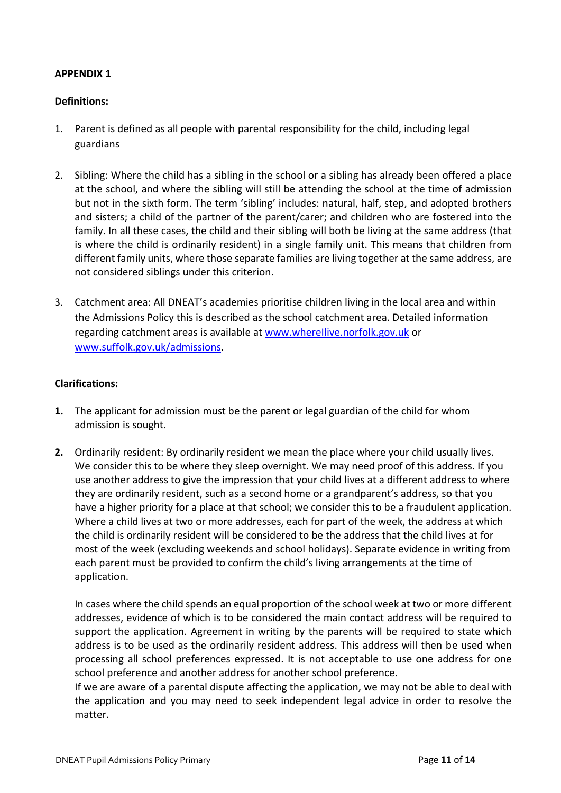#### <span id="page-10-0"></span>**APPENDIX 1**

#### **Definitions:**

- 1. Parent is defined as all people with parental responsibility for the child, including legal guardians
- 2. Sibling: Where the child has a sibling in the school or a sibling has already been offered a place at the school, and where the sibling will still be attending the school at the time of admission but not in the sixth form. The term 'sibling' includes: natural, half, step, and adopted brothers and sisters; a child of the partner of the parent/carer; and children who are fostered into the family. In all these cases, the child and their sibling will both be living at the same address (that is where the child is ordinarily resident) in a single family unit. This means that children from different family units, where those separate families are living together at the same address, are not considered siblings under this criterion.
- 3. Catchment area: All DNEAT's academies prioritise children living in the local area and within the Admissions Policy this is described as the school catchment area. Detailed information regarding catchment areas is available at www.wherellive.norfolk.gov.uk or [www.suffolk.gov.uk/admissions.](http://www.suffolk.gov.uk/admissions)

#### **Clarifications:**

- **1.** The applicant for admission must be the parent or legal guardian of the child for whom admission is sought.
- **2.** Ordinarily resident: By ordinarily resident we mean the place where your child usually lives. We consider this to be where they sleep overnight. We may need proof of this address. If you use another address to give the impression that your child lives at a different address to where they are ordinarily resident, such as a second home or a grandparent's address, so that you have a higher priority for a place at that school; we consider this to be a fraudulent application. Where a child lives at two or more addresses, each for part of the week, the address at which the child is ordinarily resident will be considered to be the address that the child lives at for most of the week (excluding weekends and school holidays). Separate evidence in writing from each parent must be provided to confirm the child's living arrangements at the time of application.

In cases where the child spends an equal proportion of the school week at two or more different addresses, evidence of which is to be considered the main contact address will be required to support the application. Agreement in writing by the parents will be required to state which address is to be used as the ordinarily resident address. This address will then be used when processing all school preferences expressed. It is not acceptable to use one address for one school preference and another address for another school preference.

If we are aware of a parental dispute affecting the application, we may not be able to deal with the application and you may need to seek independent legal advice in order to resolve the matter.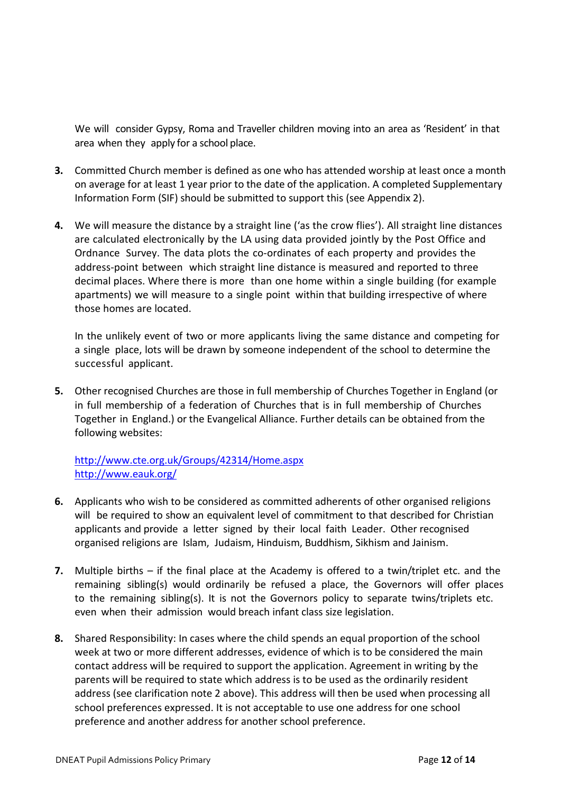We will consider Gypsy, Roma and Traveller children moving into an area as 'Resident' in that area when they apply for a school place.

- **3.** Committed Church member is defined as one who has attended worship at least once a month on average for at least 1 year prior to the date of the application. A completed Supplementary Information Form (SIF) should be submitted to support this (see Appendix 2).
- **4.** We will measure the distance by a straight line ('as the crow flies'). All straight line distances are calculated electronically by the LA using data provided jointly by the Post Office and Ordnance Survey. The data plots the co-ordinates of each property and provides the address-point between which straight line distance is measured and reported to three decimal places. Where there is more than one home within a single building (for example apartments) we will measure to a single point within that building irrespective of where those homes are located.

In the unlikely event of two or more applicants living the same distance and competing for a single place, lots will be drawn by someone independent of the school to determine the successful applicant.

**5.** Other recognised Churches are those in full membership of Churches Together in England (or in full membership of a federation of Churches that is in full membership of Churches Together in England.) or the Evangelical Alliance. Further details can be obtained from the following websites:

<http://www.cte.org.uk/Groups/42314/Home.aspx> <http://www.eauk.org/>

- **6.** Applicants who wish to be considered as committed adherents of other organised religions will be required to show an equivalent level of commitment to that described for Christian applicants and provide a letter signed by their local faith Leader. Other recognised organised religions are Islam, Judaism, Hinduism, Buddhism, Sikhism and Jainism.
- **7.** Multiple births if the final place at the Academy is offered to a twin/triplet etc. and the remaining sibling(s) would ordinarily be refused a place, the Governors will offer places to the remaining sibling(s). It is not the Governors policy to separate twins/triplets etc. even when their admission would breach infant class size legislation.
- **8.** Shared Responsibility: In cases where the child spends an equal proportion of the school week at two or more different addresses, evidence of which is to be considered the main contact address will be required to support the application. Agreement in writing by the parents will be required to state which address is to be used as the ordinarily resident address (see clarification note 2 above). This address will then be used when processing all school preferences expressed. It is not acceptable to use one address for one school preference and another address for another school preference.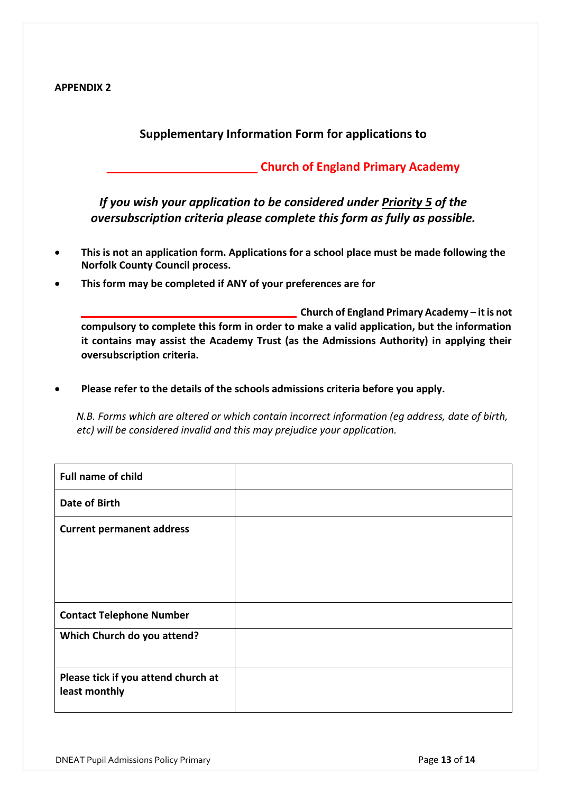<span id="page-12-0"></span>

#### **Supplementary Information Form for applications to**

#### **\_\_\_\_\_\_\_\_\_\_\_\_\_\_\_\_\_\_\_\_\_\_\_ Church of England Primary Academy**

*If you wish your application to be considered under Priority 5 of the oversubscription criteria please complete this form as fully as possible.*

- **This is not an application form. Applications for a school place must be made following the Norfolk County Council process.**
- **This form may be completed if ANY of your preferences are for**

**\_\_\_\_\_\_\_\_\_\_\_\_\_\_\_\_\_\_\_ Church of England Primary Academy – it is not compulsory to complete this form in order to make a valid application, but the information it contains may assist the Academy Trust (as the Admissions Authority) in applying their oversubscription criteria.**

• **Please refer to the details of the schools admissions criteria before you apply.**

*N.B. Forms which are altered or which contain incorrect information (eg address, date of birth, etc) will be considered invalid and this may prejudice your application.*

| <b>Full name of child</b>                            |  |
|------------------------------------------------------|--|
| <b>Date of Birth</b>                                 |  |
| <b>Current permanent address</b>                     |  |
| <b>Contact Telephone Number</b>                      |  |
| Which Church do you attend?                          |  |
| Please tick if you attend church at<br>least monthly |  |